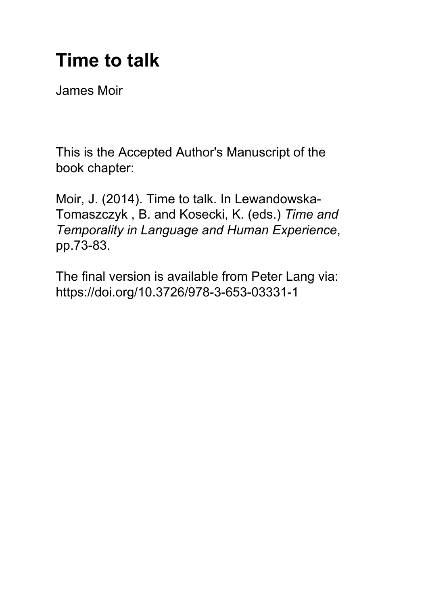# **Time to talk**

James Moir

This is the Accepted Author's Manuscript of the book chapter:

Moir, J. (2014). Time to talk. In Lewandowska-Tomaszczyk , B. and Kosecki, K. (eds.) *Time and Temporality in Language and Human Experience*, pp.73-83.

The final version is available from Peter Lang via: https://doi.org/10.3726/978-3-653-03331-1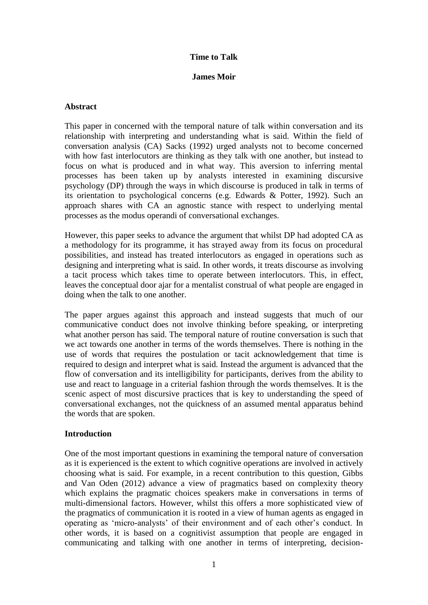# **Time to Talk**

#### **James Moir**

# **Abstract**

This paper in concerned with the temporal nature of talk within conversation and its relationship with interpreting and understanding what is said. Within the field of conversation analysis (CA) Sacks (1992) urged analysts not to become concerned with how fast interlocutors are thinking as they talk with one another, but instead to focus on what is produced and in what way. This aversion to inferring mental processes has been taken up by analysts interested in examining discursive psychology (DP) through the ways in which discourse is produced in talk in terms of its orientation to psychological concerns (e.g. Edwards & Potter, 1992). Such an approach shares with CA an agnostic stance with respect to underlying mental processes as the modus operandi of conversational exchanges.

However, this paper seeks to advance the argument that whilst DP had adopted CA as a methodology for its programme, it has strayed away from its focus on procedural possibilities, and instead has treated interlocutors as engaged in operations such as designing and interpreting what is said. In other words, it treats discourse as involving a tacit process which takes time to operate between interlocutors. This, in effect, leaves the conceptual door ajar for a mentalist construal of what people are engaged in doing when the talk to one another.

The paper argues against this approach and instead suggests that much of our communicative conduct does not involve thinking before speaking, or interpreting what another person has said. The temporal nature of routine conversation is such that we act towards one another in terms of the words themselves. There is nothing in the use of words that requires the postulation or tacit acknowledgement that time is required to design and interpret what is said. Instead the argument is advanced that the flow of conversation and its intelligibility for participants, derives from the ability to use and react to language in a criterial fashion through the words themselves. It is the scenic aspect of most discursive practices that is key to understanding the speed of conversational exchanges, not the quickness of an assumed mental apparatus behind the words that are spoken.

## **Introduction**

One of the most important questions in examining the temporal nature of conversation as it is experienced is the extent to which cognitive operations are involved in actively choosing what is said. For example, in a recent contribution to this question, Gibbs and Van Oden (2012) advance a view of pragmatics based on complexity theory which explains the pragmatic choices speakers make in conversations in terms of multi-dimensional factors. However, whilst this offers a more sophisticated view of the pragmatics of communication it is rooted in a view of human agents as engaged in operating as 'micro-analysts' of their environment and of each other's conduct. In other words, it is based on a cognitivist assumption that people are engaged in communicating and talking with one another in terms of interpreting, decision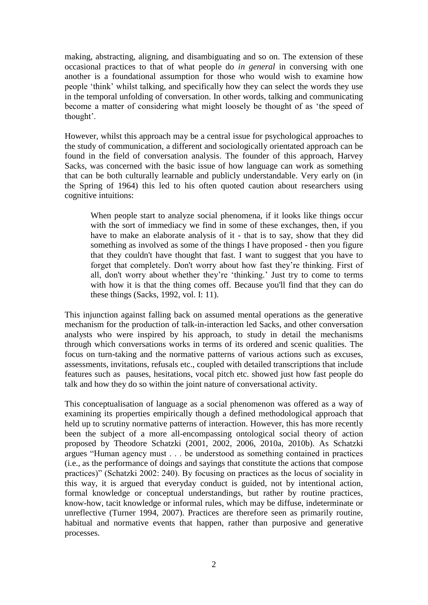making, abstracting, aligning, and disambiguating and so on. The extension of these occasional practices to that of what people do *in general* in conversing with one another is a foundational assumption for those who would wish to examine how people 'think' whilst talking, and specifically how they can select the words they use in the temporal unfolding of conversation. In other words, talking and communicating become a matter of considering what might loosely be thought of as 'the speed of thought'.

However, whilst this approach may be a central issue for psychological approaches to the study of communication, a different and sociologically orientated approach can be found in the field of conversation analysis. The founder of this approach, Harvey Sacks, was concerned with the basic issue of how language can work as something that can be both culturally learnable and publicly understandable. Very early on (in the Spring of 1964) this led to his often quoted caution about researchers using cognitive intuitions:

When people start to analyze social phenomena, if it looks like things occur with the sort of immediacy we find in some of these exchanges, then, if you have to make an elaborate analysis of it - that is to say, show that they did something as involved as some of the things I have proposed - then you figure that they couldn't have thought that fast. I want to suggest that you have to forget that completely. Don't worry about how fast they're thinking. First of all, don't worry about whether they're 'thinking.' Just try to come to terms with how it is that the thing comes off. Because you'll find that they can do these things (Sacks, 1992, vol. I: 11).

This injunction against falling back on assumed mental operations as the generative mechanism for the production of talk-in-interaction led Sacks, and other conversation analysts who were inspired by his approach, to study in detail the mechanisms through which conversations works in terms of its ordered and scenic qualities. The focus on turn-taking and the normative patterns of various actions such as excuses, assessments, invitations, refusals etc., coupled with detailed transcriptions that include features such as pauses, hesitations, vocal pitch etc. showed just how fast people do talk and how they do so within the joint nature of conversational activity.

This conceptualisation of language as a social phenomenon was offered as a way of examining its properties empirically though a defined methodological approach that held up to scrutiny normative patterns of interaction. However, this has more recently been the subject of a more all-encompassing ontological social theory of action proposed by Theodore Schatzki (2001, 2002, 2006, 2010a, 2010b). As Schatzki argues "Human agency must . . . be understood as something contained in practices (i.e., as the performance of doings and sayings that constitute the actions that compose practices)" (Schatzki 2002: 240). By focusing on practices as the locus of sociality in this way, it is argued that everyday conduct is guided, not by intentional action, formal knowledge or conceptual understandings, but rather by routine practices, know-how, tacit knowledge or informal rules, which may be diffuse, indeterminate or unreflective (Turner 1994, 2007). Practices are therefore seen as primarily routine, habitual and normative events that happen, rather than purposive and generative processes.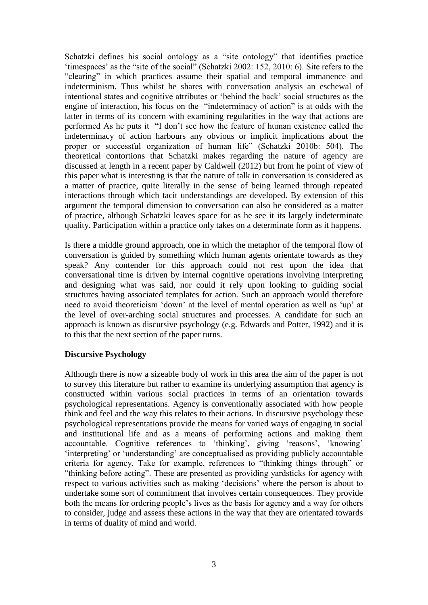Schatzki defines his social ontology as a "site ontology" that identifies practice 'timespaces' as the "site of the social" (Schatzki 2002: 152, 2010: 6). Site refers to the "clearing" in which practices assume their spatial and temporal immanence and indeterminism. Thus whilst he shares with conversation analysis an eschewal of intentional states and cognitive attributes or 'behind the back' social structures as the engine of interaction, his focus on the "indeterminacy of action" is at odds with the latter in terms of its concern with examining regularities in the way that actions are performed As he puts it "I don't see how the feature of human existence called the indeterminacy of action harbours any obvious or implicit implications about the proper or successful organization of human life" (Schatzki 2010b: 504). The theoretical contortions that Schatzki makes regarding the nature of agency are discussed at length in a recent paper by Caldwell (2012) but from he point of view of this paper what is interesting is that the nature of talk in conversation is considered as a matter of practice, quite literally in the sense of being learned through repeated interactions through which tacit understandings are developed. By extension of this argument the temporal dimension to conversation can also be considered as a matter of practice, although Schatzki leaves space for as he see it its largely indeterminate quality. Participation within a practice only takes on a determinate form as it happens.

Is there a middle ground approach, one in which the metaphor of the temporal flow of conversation is guided by something which human agents orientate towards as they speak? Any contender for this approach could not rest upon the idea that conversational time is driven by internal cognitive operations involving interpreting and designing what was said, nor could it rely upon looking to guiding social structures having associated templates for action. Such an approach would therefore need to avoid theoreticism 'down' at the level of mental operation as well as 'up' at the level of over-arching social structures and processes. A candidate for such an approach is known as discursive psychology (e.g. Edwards and Potter, 1992) and it is to this that the next section of the paper turns.

## **Discursive Psychology**

Although there is now a sizeable body of work in this area the aim of the paper is not to survey this literature but rather to examine its underlying assumption that agency is constructed within various social practices in terms of an orientation towards psychological representations. Agency is conventionally associated with how people think and feel and the way this relates to their actions. In discursive psychology these psychological representations provide the means for varied ways of engaging in social and institutional life and as a means of performing actions and making them accountable. Cognitive references to 'thinking', giving 'reasons', 'knowing' 'interpreting' or 'understanding' are conceptualised as providing publicly accountable criteria for agency. Take for example, references to "thinking things through" or "thinking before acting". These are presented as providing yardsticks for agency with respect to various activities such as making 'decisions' where the person is about to undertake some sort of commitment that involves certain consequences. They provide both the means for ordering people's lives as the basis for agency and a way for others to consider, judge and assess these actions in the way that they are orientated towards in terms of duality of mind and world.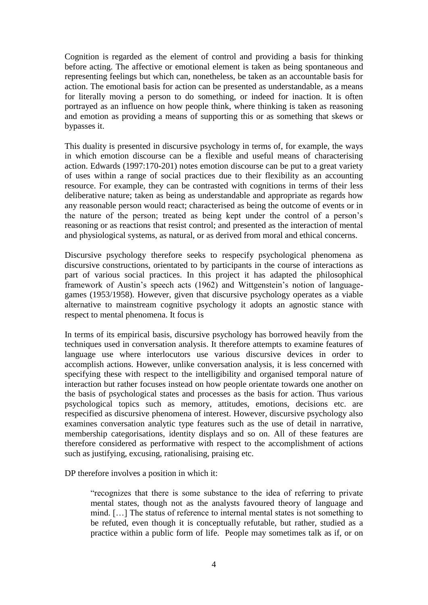Cognition is regarded as the element of control and providing a basis for thinking before acting. The affective or emotional element is taken as being spontaneous and representing feelings but which can, nonetheless, be taken as an accountable basis for action. The emotional basis for action can be presented as understandable, as a means for literally moving a person to do something, or indeed for inaction. It is often portrayed as an influence on how people think, where thinking is taken as reasoning and emotion as providing a means of supporting this or as something that skews or bypasses it.

This duality is presented in discursive psychology in terms of, for example, the ways in which emotion discourse can be a flexible and useful means of characterising action. Edwards (1997:170-201) notes emotion discourse can be put to a great variety of uses within a range of social practices due to their flexibility as an accounting resource. For example, they can be contrasted with cognitions in terms of their less deliberative nature; taken as being as understandable and appropriate as regards how any reasonable person would react; characterised as being the outcome of events or in the nature of the person; treated as being kept under the control of a person's reasoning or as reactions that resist control; and presented as the interaction of mental and physiological systems, as natural, or as derived from moral and ethical concerns.

Discursive psychology therefore seeks to respecify psychological phenomena as discursive constructions, orientated to by participants in the course of interactions as part of various social practices. In this project it has adapted the philosophical framework of Austin's speech acts (1962) and Wittgenstein's notion of languagegames (1953/1958). However, given that discursive psychology operates as a viable alternative to mainstream cognitive psychology it adopts an agnostic stance with respect to mental phenomena. It focus is

In terms of its empirical basis, discursive psychology has borrowed heavily from the techniques used in conversation analysis. It therefore attempts to examine features of language use where interlocutors use various discursive devices in order to accomplish actions. However, unlike conversation analysis, it is less concerned with specifying these with respect to the intelligibility and organised temporal nature of interaction but rather focuses instead on how people orientate towards one another on the basis of psychological states and processes as the basis for action. Thus various psychological topics such as memory, attitudes, emotions, decisions etc. are respecified as discursive phenomena of interest. However, discursive psychology also examines conversation analytic type features such as the use of detail in narrative, membership categorisations, identity displays and so on. All of these features are therefore considered as performative with respect to the accomplishment of actions such as justifying, excusing, rationalising, praising etc.

DP therefore involves a position in which it:

"recognizes that there is some substance to the idea of referring to private mental states, though not as the analysts favoured theory of language and mind. […] The status of reference to internal mental states is not something to be refuted, even though it is conceptually refutable, but rather, studied as a practice within a public form of life. People may sometimes talk as if, or on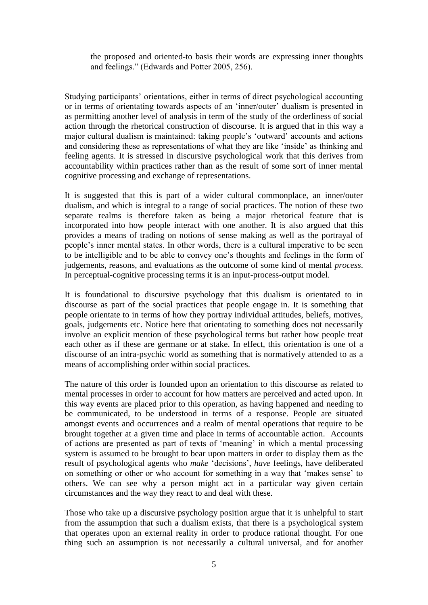the proposed and oriented-to basis their words are expressing inner thoughts and feelings." (Edwards and Potter 2005, 256).

Studying participants' orientations, either in terms of direct psychological accounting or in terms of orientating towards aspects of an 'inner/outer' dualism is presented in as permitting another level of analysis in term of the study of the orderliness of social action through the rhetorical construction of discourse. It is argued that in this way a major cultural dualism is maintained: taking people's 'outward' accounts and actions and considering these as representations of what they are like 'inside' as thinking and feeling agents. It is stressed in discursive psychological work that this derives from accountability within practices rather than as the result of some sort of inner mental cognitive processing and exchange of representations.

It is suggested that this is part of a wider cultural commonplace, an inner/outer dualism, and which is integral to a range of social practices. The notion of these two separate realms is therefore taken as being a major rhetorical feature that is incorporated into how people interact with one another. It is also argued that this provides a means of trading on notions of sense making as well as the portrayal of people's inner mental states. In other words, there is a cultural imperative to be seen to be intelligible and to be able to convey one's thoughts and feelings in the form of judgements, reasons, and evaluations as the outcome of some kind of mental *process*. In perceptual-cognitive processing terms it is an input-process-output model.

It is foundational to discursive psychology that this dualism is orientated to in discourse as part of the social practices that people engage in. It is something that people orientate to in terms of how they portray individual attitudes, beliefs, motives, goals, judgements etc. Notice here that orientating to something does not necessarily involve an explicit mention of these psychological terms but rather how people treat each other as if these are germane or at stake. In effect, this orientation is one of a discourse of an intra-psychic world as something that is normatively attended to as a means of accomplishing order within social practices.

The nature of this order is founded upon an orientation to this discourse as related to mental processes in order to account for how matters are perceived and acted upon. In this way events are placed prior to this operation, as having happened and needing to be communicated, to be understood in terms of a response. People are situated amongst events and occurrences and a realm of mental operations that require to be brought together at a given time and place in terms of accountable action. Accounts of actions are presented as part of texts of 'meaning' in which a mental processing system is assumed to be brought to bear upon matters in order to display them as the result of psychological agents who *make* 'decisions', *have* feelings, have deliberated on something or other or who account for something in a way that 'makes sense' to others. We can see why a person might act in a particular way given certain circumstances and the way they react to and deal with these.

Those who take up a discursive psychology position argue that it is unhelpful to start from the assumption that such a dualism exists, that there is a psychological system that operates upon an external reality in order to produce rational thought. For one thing such an assumption is not necessarily a cultural universal, and for another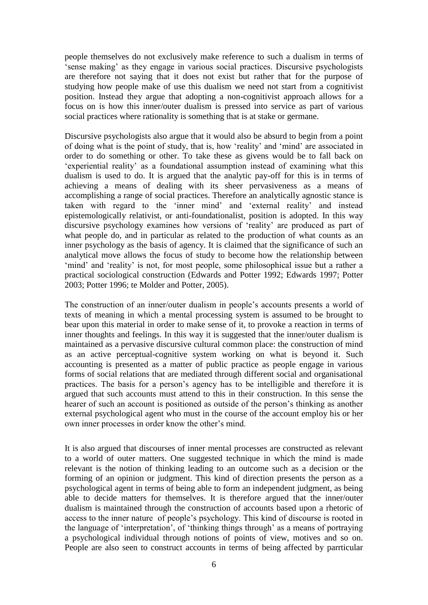people themselves do not exclusively make reference to such a dualism in terms of 'sense making' as they engage in various social practices. Discursive psychologists are therefore not saying that it does not exist but rather that for the purpose of studying how people make of use this dualism we need not start from a cognitivist position. Instead they argue that adopting a non-cognitivist approach allows for a focus on is how this inner/outer dualism is pressed into service as part of various social practices where rationality is something that is at stake or germane.

Discursive psychologists also argue that it would also be absurd to begin from a point of doing what is the point of study, that is, how 'reality' and 'mind' are associated in order to do something or other. To take these as givens would be to fall back on 'experiential reality' as a foundational assumption instead of examining what this dualism is used to do. It is argued that the analytic pay-off for this is in terms of achieving a means of dealing with its sheer pervasiveness as a means of accomplishing a range of social practices. Therefore an analytically agnostic stance is taken with regard to the 'inner mind' and 'external reality' and instead epistemologically relativist, or anti-foundationalist, position is adopted. In this way discursive psychology examines how versions of 'reality' are produced as part of what people do, and in particular as related to the production of what counts as an inner psychology as the basis of agency. It is claimed that the significance of such an analytical move allows the focus of study to become how the relationship between 'mind' and 'reality' is not, for most people, some philosophical issue but a rather a practical sociological construction (Edwards and Potter 1992; Edwards 1997; Potter 2003; Potter 1996; te Molder and Potter, 2005).

The construction of an inner/outer dualism in people's accounts presents a world of texts of meaning in which a mental processing system is assumed to be brought to bear upon this material in order to make sense of it, to provoke a reaction in terms of inner thoughts and feelings. In this way it is suggested that the inner/outer dualism is maintained as a pervasive discursive cultural common place: the construction of mind as an active perceptual-cognitive system working on what is beyond it. Such accounting is presented as a matter of public practice as people engage in various forms of social relations that are mediated through different social and organisational practices. The basis for a person's agency has to be intelligible and therefore it is argued that such accounts must attend to this in their construction. In this sense the hearer of such an account is positioned as outside of the person's thinking as another external psychological agent who must in the course of the account employ his or her own inner processes in order know the other's mind.

It is also argued that discourses of inner mental processes are constructed as relevant to a world of outer matters. One suggested technique in which the mind is made relevant is the notion of thinking leading to an outcome such as a decision or the forming of an opinion or judgment. This kind of direction presents the person as a psychological agent in terms of being able to form an independent judgment, as being able to decide matters for themselves. It is therefore argued that the inner/outer dualism is maintained through the construction of accounts based upon a rhetoric of access to the inner nature of people's psychology. This kind of discourse is rooted in the language of 'interpretation', of 'thinking things through' as a means of portraying a psychological individual through notions of points of view, motives and so on. People are also seen to construct accounts in terms of being affected by parrticular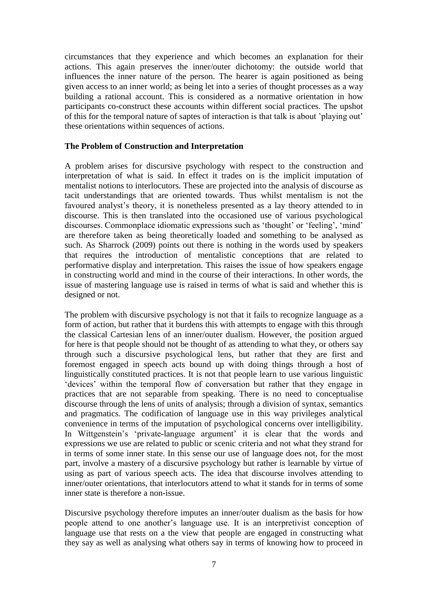circumstances that they experience and which becomes an explanation for their actions. This again preserves the inner/outer dichotomy: the outside world that influences the inner nature of the person. The hearer is again positioned as being given access to an inner world; as being let into a series of thought processes as a way building a rational account. This is considered as a normative orientation in how participants co-construct these accounts within different social practices. The upshot of this for the temporal nature of saptes of interaction is that talk is about 'playing out' these orientations within sequences of actions.

# **The Problem of Construction and Interpretation**

A problem arises for discursive psychology with respect to the construction and interpretation of what is said. In effect it trades on is the implicit imputation of mentalist notions to interlocutors. These are projected into the analysis of discourse as tacit understandings that are oriented towards. Thus whilst mentalism is not the favoured analyst's theory, it is nonetheless presented as a lay theory attended to in discourse. This is then translated into the occasioned use of various psychological discourses. Commonplace idiomatic expressions such as 'thought' or 'feeling', 'mind' are therefore taken as being theoretically loaded and something to be analysed as such. As Sharrock (2009) points out there is nothing in the words used by speakers that requires the introduction of mentalistic conceptions that are related to performative display and interpretation. This raises the issue of how speakers engage in constructing world and mind in the course of their interactions. In other words, the issue of mastering language use is raised in terms of what is said and whether this is designed or not.

The problem with discursive psychology is not that it fails to recognize language as a form of action, but rather that it burdens this with attempts to engage with this through the classical Cartesian lens of an inner/outer dualism. However, the position argued for here is that people should not be thought of as attending to what they, or others say through such a discursive psychological lens, but rather that they are first and foremost engaged in speech acts bound up with doing things through a host of linguistically constituted practices. It is not that people learn to use various linguistic 'devices' within the temporal flow of conversation but rather that they engage in practices that are not separable from speaking. There is no need to conceptualise discourse through the lens of units of analysis; through a division of syntax, semantics and pragmatics. The codification of language use in this way privileges analytical convenience in terms of the imputation of psychological concerns over intelligibility. In Wittgenstein's 'private-language argument' it is clear that the words and expressions we use are related to public or scenic criteria and not what they strand for in terms of some inner state. In this sense our use of language does not, for the most part, involve a mastery of a discursive psychology but rather is learnable by virtue of using as part of various speech acts. The idea that discourse involves attending to inner/outer orientations, that interlocutors attend to what it stands for in terms of some inner state is therefore a non-issue.

Discursive psychology therefore imputes an inner/outer dualism as the basis for how people attend to one another's language use. It is an interpretivist conception of language use that rests on a the view that people are engaged in constructing what they say as well as analysing what others say in terms of knowing how to proceed in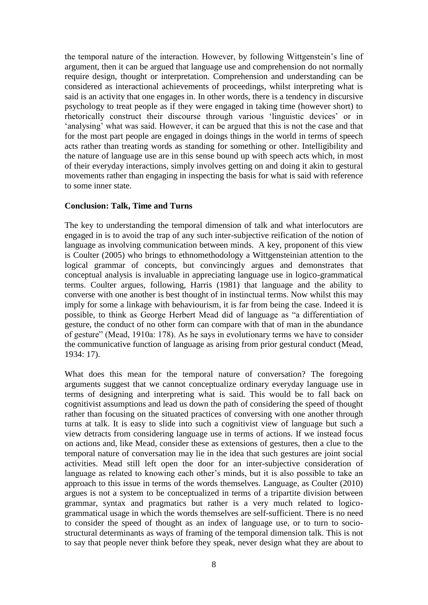the temporal nature of the interaction. However, by following Wittgenstein's line of argument, then it can be argued that language use and comprehension do not normally require design, thought or interpretation. Comprehension and understanding can be considered as interactional achievements of proceedings, whilst interpreting what is said is an activity that one engages in. In other words, there is a tendency in discursive psychology to treat people as if they were engaged in taking time (however short) to rhetorically construct their discourse through various 'linguistic devices' or in 'analysing' what was said. However, it can be argued that this is not the case and that for the most part people are engaged in doings things in the world in terms of speech acts rather than treating words as standing for something or other. Intelligibility and the nature of language use are in this sense bound up with speech acts which, in most of their everyday interactions, simply involves getting on and doing it akin to gestural movements rather than engaging in inspecting the basis for what is said with reference to some inner state.

## **Conclusion: Talk, Time and Turns**

The key to understanding the temporal dimension of talk and what interlocutors are engaged in is to avoid the trap of any such inter-subjective reification of the notion of language as involving communication between minds. A key, proponent of this view is Coulter (2005) who brings to ethnomethodology a Wittgensteinian attention to the logical grammar of concepts, but convincingly argues and demonstrates that conceptual analysis is invaluable in appreciating language use in logico-grammatical terms. Coulter argues, following, Harris (1981) that language and the ability to converse with one another is best thought of in instinctual terms. Now whilst this may imply for some a linkage with behaviourism, it is far from being the case. Indeed it is possible, to think as George Herbert Mead did of language as "a differentiation of gesture, the conduct of no other form can compare with that of man in the abundance of gesture" (Mead, 1910a: 178). As he says in evolutionary terms we have to consider the communicative function of language as arising from prior gestural conduct (Mead, 1934: 17).

What does this mean for the temporal nature of conversation? The foregoing arguments suggest that we cannot conceptualize ordinary everyday language use in terms of designing and interpreting what is said. This would be to fall back on cognitivist assumptions and lead us down the path of considering the speed of thought rather than focusing on the situated practices of conversing with one another through turns at talk. It is easy to slide into such a cognitivist view of language but such a view detracts from considering language use in terms of actions. If we instead focus on actions and, like Mead, consider these as extensions of gestures, then a clue to the temporal nature of conversation may lie in the idea that such gestures are joint social activities. Mead still left open the door for an inter-subjective consideration of language as related to knowing each other's minds, but it is also possible to take an approach to this issue in terms of the words themselves. Language, as Coulter (2010) argues is not a system to be conceptualized in terms of a tripartite division between grammar, syntax and pragmatics but rather is a very much related to logicogrammatical usage in which the words themselves are self-sufficient. There is no need to consider the speed of thought as an index of language use, or to turn to sociostructural determinants as ways of framing of the temporal dimension talk. This is not to say that people never think before they speak, never design what they are about to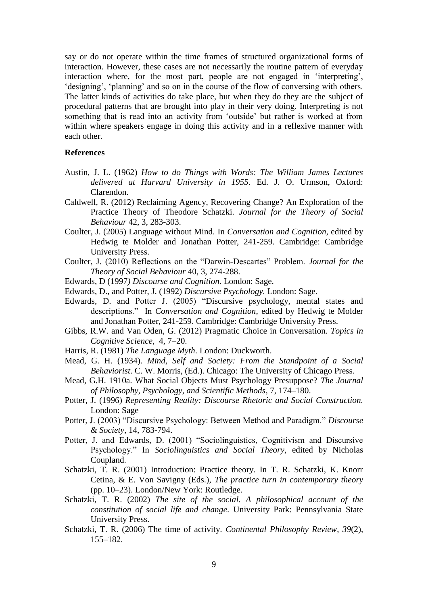say or do not operate within the time frames of structured organizational forms of interaction. However, these cases are not necessarily the routine pattern of everyday interaction where, for the most part, people are not engaged in 'interpreting', 'designing', 'planning' and so on in the course of the flow of conversing with others. The latter kinds of activities do take place, but when they do they are the subject of procedural patterns that are brought into play in their very doing. Interpreting is not something that is read into an activity from 'outside' but rather is worked at from within where speakers engage in doing this activity and in a reflexive manner with each other.

#### **References**

- Austin, J. L. (1962) *How to do Things with Words: The William James Lectures delivered at Harvard University in 1955*. Ed. J. O. Urmson, Oxford: Clarendon.
- Caldwell, R. (2012) Reclaiming Agency, Recovering Change? An Exploration of the Practice Theory of Theodore Schatzki. *Journal for the Theory of Social Behaviour* 42, 3, 283-303.
- Coulter, J. (2005) Language without Mind. In *Conversation and Cognition*, edited by Hedwig te Molder and Jonathan Potter, 241-259. Cambridge: Cambridge University Press.
- Coulter, J. (2010) Reflections on the "Darwin-Descartes" Problem. *Journal for the Theory of Social Behaviour* 40, 3, 274-288.
- Edwards, D (1997*) Discourse and Cognition*. London: Sage.
- Edwards, D., and Potter, J. (1992) *Discursive Psychology.* London: Sage.
- Edwards, D. and Potter J. (2005) "Discursive psychology, mental states and descriptions." In *Conversation and Cognition*, edited by Hedwig te Molder and Jonathan Potter, 241-259. Cambridge: Cambridge University Press.
- Gibbs, R.W. and Van Oden, G. (2012) Pragmatic Choice in Conversation. *Topics in Cognitive Science*, 4, 7–20.
- Harris, R. (1981) *The Language Myth*. London: Duckworth.
- Mead, G. H. (1934). *Mind, Self and Society: From the Standpoint of a Social Behaviorist*. C. W. Morris, (Ed.). Chicago: The University of Chicago Press.
- Mead, G.H. 1910a. What Social Objects Must Psychology Presuppose? *The Journal of Philosophy, Psychology, and Scientific Methods*, 7, 174–180.
- Potter, J. (1996) *Representing Reality: Discourse Rhetoric and Social Construction.*  London: Sage
- Potter, J. (2003) "Discursive Psychology: Between Method and Paradigm." *Discourse & Society*, 14, 783-794.
- Potter, J. and Edwards, D. (2001) "Sociolinguistics, Cognitivism and Discursive Psychology." In *Sociolinguistics and Social Theory*, edited by Nicholas Coupland.
- Schatzki, T. R. (2001) Introduction: Practice theory. In T. R. Schatzki, K. Knorr Cetina, & E. Von Savigny (Eds.), *The practice turn in contemporary theory*  (pp. 10–23). London/New York: Routledge.
- Schatzki, T. R. (2002) *The site of the social. A philosophical account of the constitution of social life and change*. University Park: Pennsylvania State University Press.
- Schatzki, T. R. (2006) The time of activity. *Continental Philosophy Review*, *39*(2), 155–182.